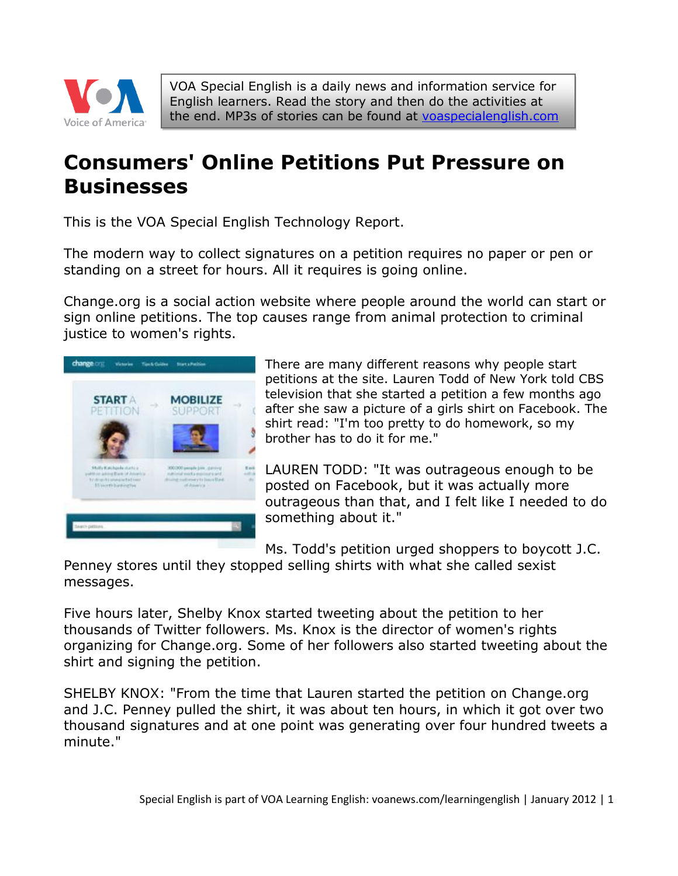

VOA Special English is a daily news and information service for English learners. Read the story and then do the activities at the end. MP3s of stories can be found at [voaspecialenglish.com](http://voaspecialenglish.com/)

# **Consumers' Online Petitions Put Pressure on Businesses**

This is the VOA Special English Technology Report.

The modern way to collect signatures on a petition requires no paper or pen or standing on a street for hours. All it requires is going online.

Change.org is a social action website where people around the world can start or sign online petitions. The top causes range from animal protection to criminal justice to women's rights.



There are many different reasons why people start petitions at the site. Lauren Todd of New York told CBS television that she started a petition a few months ago after she saw a picture of a girls shirt on Facebook. The shirt read: "I'm too pretty to do homework, so my brother has to do it for me."

LAUREN TODD: "It was outrageous enough to be posted on Facebook, but it was actually more outrageous than that, and I felt like I needed to do something about it."

Ms. Todd's petition urged shoppers to boycott J.C.

Penney stores until they stopped selling shirts with what she called sexist messages.

Five hours later, Shelby Knox started tweeting about the petition to her thousands of Twitter followers. Ms. Knox is the director of women's rights organizing for Change.org. Some of her followers also started tweeting about the shirt and signing the petition.

SHELBY KNOX: "From the time that Lauren started the petition on Change.org and J.C. Penney pulled the shirt, it was about ten hours, in which it got over two thousand signatures and at one point was generating over four hundred tweets a minute."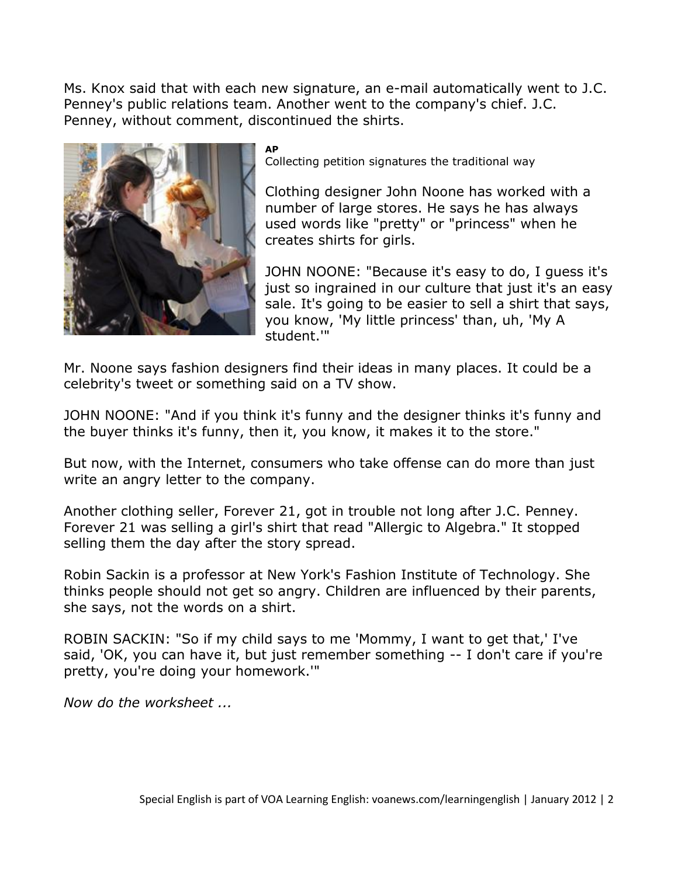Ms. Knox said that with each new signature, an e-mail automatically went to J.C. Penney's public relations team. Another went to the company's chief. J.C. Penney, without comment, discontinued the shirts.



**AP**

Collecting petition signatures the traditional way

Clothing designer John Noone has worked with a number of large stores. He says he has always used words like "pretty" or "princess" when he creates shirts for girls.

JOHN NOONE: "Because it's easy to do, I guess it's just so ingrained in our culture that just it's an easy sale. It's going to be easier to sell a shirt that says, you know, 'My little princess' than, uh, 'My A student.'"

Mr. Noone says fashion designers find their ideas in many places. It could be a celebrity's tweet or something said on a TV show.

JOHN NOONE: "And if you think it's funny and the designer thinks it's funny and the buyer thinks it's funny, then it, you know, it makes it to the store."

But now, with the Internet, consumers who take offense can do more than just write an angry letter to the company.

Another clothing seller, Forever 21, got in trouble not long after J.C. Penney. Forever 21 was selling a girl's shirt that read "Allergic to Algebra." It stopped selling them the day after the story spread.

Robin Sackin is a professor at New York's Fashion Institute of Technology. She thinks people should not get so angry. Children are influenced by their parents, she says, not the words on a shirt.

ROBIN SACKIN: "So if my child says to me 'Mommy, I want to get that,' I've said, 'OK, you can have it, but just remember something -- I don't care if you're pretty, you're doing your homework.'"

*Now do the worksheet ...*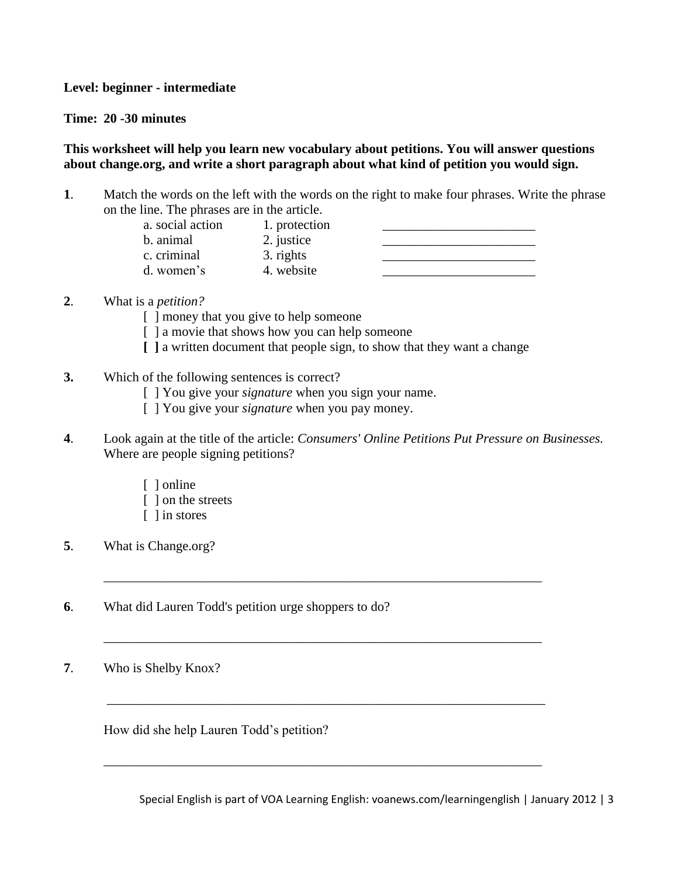**Level: beginner - intermediate** 

**Time: 20 -30 minutes** 

## **This worksheet will help you learn new vocabulary about petitions. You will answer questions about change.org, and write a short paragraph about what kind of petition you would sign.**

**1**. Match the words on the left with the words on the right to make four phrases. Write the phrase on the line. The phrases are in the article.

| a. social action | 1. protection |  |
|------------------|---------------|--|
| b. animal        | 2. justice    |  |
| c. criminal      | 3. rights     |  |
| d. women's       | 4. website    |  |

## **2**. What is a *petition?*

- [ ] money that you give to help someone
- [ ] a movie that shows how you can help someone
- **[ ]** a written document that people sign, to show that they want a change
- **3.** Which of the following sentences is correct?
	- [ ] You give your *signature* when you sign your name.
	- [ ] You give your *signature* when you pay money.
- **4**. Look again at the title of the article: *Consumers' Online Petitions Put Pressure on Businesses.*  Where are people signing petitions?

\_\_\_\_\_\_\_\_\_\_\_\_\_\_\_\_\_\_\_\_\_\_\_\_\_\_\_\_\_\_\_\_\_\_\_\_\_\_\_\_\_\_\_\_\_\_\_\_\_\_\_\_\_\_\_\_\_\_\_\_\_\_\_\_\_\_

\_\_\_\_\_\_\_\_\_\_\_\_\_\_\_\_\_\_\_\_\_\_\_\_\_\_\_\_\_\_\_\_\_\_\_\_\_\_\_\_\_\_\_\_\_\_\_\_\_\_\_\_\_\_\_\_\_\_\_\_\_\_\_\_\_\_

\_\_\_\_\_\_\_\_\_\_\_\_\_\_\_\_\_\_\_\_\_\_\_\_\_\_\_\_\_\_\_\_\_\_\_\_\_\_\_\_\_\_\_\_\_\_\_\_\_\_\_\_\_\_\_\_\_\_\_\_\_\_\_\_\_\_

\_\_\_\_\_\_\_\_\_\_\_\_\_\_\_\_\_\_\_\_\_\_\_\_\_\_\_\_\_\_\_\_\_\_\_\_\_\_\_\_\_\_\_\_\_\_\_\_\_\_\_\_\_\_\_\_\_\_\_\_\_\_\_\_\_\_

- [ ] online
- [ ] on the streets
- [ ] in stores
- **5**. What is Change.org?
- **6**. What did Lauren Todd's petition urge shoppers to do?
- **7**. Who is Shelby Knox?

How did she help Lauren Todd's petition?

Special English is part of VOA Learning English: voanews.com/learningenglish | January 2012 | 3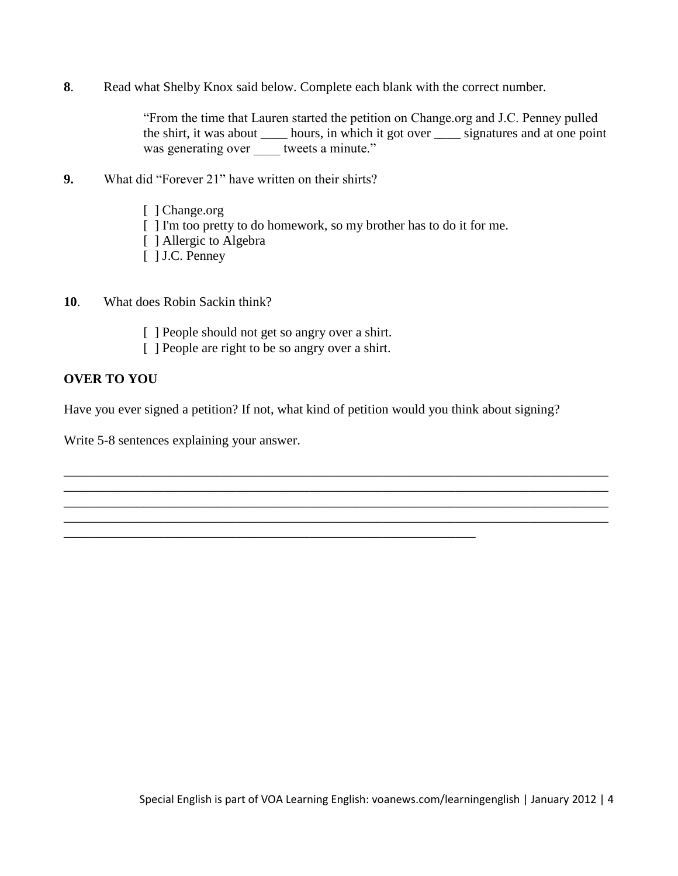**8**. Read what Shelby Knox said below. Complete each blank with the correct number.

"From the time that Lauren started the petition on Change.org and J.C. Penney pulled the shirt, it was about \_\_\_\_ hours, in which it got over \_\_\_\_ signatures and at one point was generating over tweets a minute."

- **9.** What did "Forever 21" have written on their shirts?
	- [ ] Change.org
	- [ ] I'm too pretty to do homework, so my brother has to do it for me.
	- [ ] Allergic to Algebra
	- [ ] J.C. Penney
- **10**. What does Robin Sackin think?
	- [ ] People should not get so angry over a shirt.
	- [ ] People are right to be so angry over a shirt.

\_\_\_\_\_\_\_\_\_\_\_\_\_\_\_\_\_\_\_\_\_\_\_\_\_\_\_\_\_\_\_\_\_\_\_\_\_\_\_\_\_\_\_\_\_\_\_\_\_\_\_\_\_\_\_\_\_\_\_\_\_\_

#### **OVER TO YOU**

Have you ever signed a petition? If not, what kind of petition would you think about signing?

\_\_\_\_\_\_\_\_\_\_\_\_\_\_\_\_\_\_\_\_\_\_\_\_\_\_\_\_\_\_\_\_\_\_\_\_\_\_\_\_\_\_\_\_\_\_\_\_\_\_\_\_\_\_\_\_\_\_\_\_\_\_\_\_\_\_\_\_\_\_\_\_\_\_\_\_\_\_\_\_\_\_ \_\_\_\_\_\_\_\_\_\_\_\_\_\_\_\_\_\_\_\_\_\_\_\_\_\_\_\_\_\_\_\_\_\_\_\_\_\_\_\_\_\_\_\_\_\_\_\_\_\_\_\_\_\_\_\_\_\_\_\_\_\_\_\_\_\_\_\_\_\_\_\_\_\_\_\_\_\_\_\_\_\_ \_\_\_\_\_\_\_\_\_\_\_\_\_\_\_\_\_\_\_\_\_\_\_\_\_\_\_\_\_\_\_\_\_\_\_\_\_\_\_\_\_\_\_\_\_\_\_\_\_\_\_\_\_\_\_\_\_\_\_\_\_\_\_\_\_\_\_\_\_\_\_\_\_\_\_\_\_\_\_\_\_\_ \_\_\_\_\_\_\_\_\_\_\_\_\_\_\_\_\_\_\_\_\_\_\_\_\_\_\_\_\_\_\_\_\_\_\_\_\_\_\_\_\_\_\_\_\_\_\_\_\_\_\_\_\_\_\_\_\_\_\_\_\_\_\_\_\_\_\_\_\_\_\_\_\_\_\_\_\_\_\_\_\_\_

Write 5-8 sentences explaining your answer.